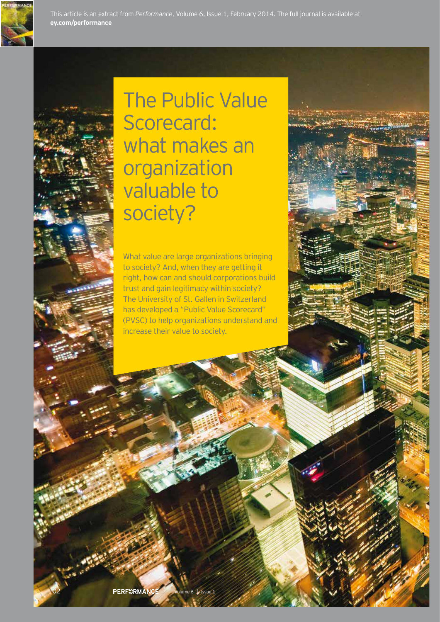





The Public Value Scorecard: what makes an organization valuable to society?

What value are large organizations bringing to society? And, when they are getting it right, how can and should corporations build trust and gain legitimacy within society? The University of St. Gallen in Switzerland has developed a "Public Value Scorecard" (PVSC) to help organizations understand and increase their value to society.

PERF€RMAN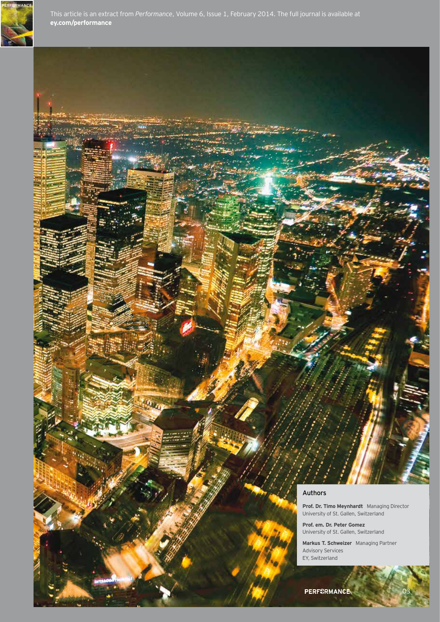

### Authors

**Prof. Dr. Timo Meynhardt** Managing Director University of St. Gallen, Switzerland

**Prof. em. Dr. Peter Gomez** University of St. Gallen, Switzerland

**Markus T. Schweizer** Managing Partner Advisory Services EY, Switzerland

03

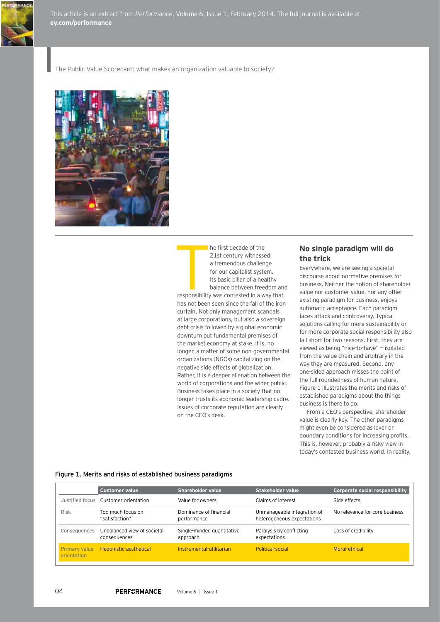

This article is an extract from *Performance*, Volume 6, Issue 1, February 2014. The full journal is available at **ey.com/performance**

The Public Value Scorecard: what makes an organization valuable to society?



he first decade of the 21st century witnessed a tremendous challenge for our capitalist system. Its basic pillar of a healthy balance between freedom and

T responsibility was contested in a way that has not been seen since the fall of the iron curtain. Not only management scandals at large corporations, but also a sovereign debt crisis followed by a global economic downturn put fundamental premises of the market economy at stake. It is, no longer, a matter of some non-governmental organizations (NGOs) capitalizing on the negative side effects of globalization. Rather, it is a deeper alienation between the world of corporations and the wider public. Business takes place in a society that no longer trusts its economic leadership cadre. Issues of corporate reputation are clearly on the CEO's desk.

# **No single paradigm will do the trick**

Everywhere, we are seeing a societal discourse about normative premises for business. Neither the notion of shareholder value nor customer value, nor any other existing paradigm for business, enjoys automatic acceptance. Each paradigm faces attack and controversy. Typical solutions calling for more sustainability or for more corporate social responsibility also fall short for two reasons. First, they are viewed as being "nice-to-have" — isolated from the value chain and arbitrary in the way they are measured. Second, any one-sided approach misses the point of the full roundedness of human nature. Figure 1 illustrates the merits and risks of established paradigms about the things business is there to do.

From a CEO's perspective, shareholder value is clearly key. The other paradigms might even be considered as lever or boundary conditions for increasing profits. This is, however, probably a risky view in today's contested business world. In reality,

#### Figure 1. Merits and risks of established business paradigms

|                                     | <b>Customer value</b>                       | <b>Shareholder value</b>               | <b>Stakeholder value</b>                                  | Corporate social responsibility |
|-------------------------------------|---------------------------------------------|----------------------------------------|-----------------------------------------------------------|---------------------------------|
|                                     | Justified focus Customer orientation        | Value for owners                       | Claims of interest                                        | Side effects                    |
| <b>Risk</b>                         | Too much focus on<br>"satisfaction"         | Dominance of financial<br>performance  | Unmanageable integration of<br>heterogeneous expectations | No relevance for core business  |
| Consequences                        | Unbalanced view of societal<br>consequences | Single-minded quantitative<br>approach | Paralysis by conflicting<br>expectations                  | Loss of credibility             |
| <b>Primary value</b><br>orientation | Hedonistic-aesthetical                      | Instrumental-utilitarian               | <b>Political-social</b>                                   | Moral-ethical                   |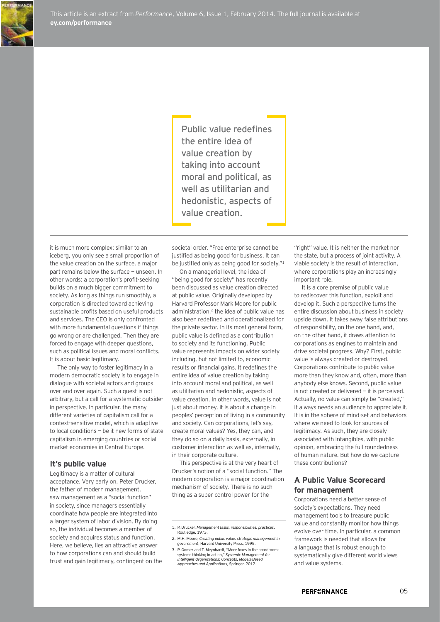

Public value redefines the entire idea of value creation by taking into account moral and political, as well as utilitarian and hedonistic, aspects of value creation.

it is much more complex: similar to an iceberg, you only see a small proportion of the value creation on the surface, a major part remains below the surface — unseen. In other words: a corporation's profit-seeking builds on a much bigger commitment to society. As long as things run smoothly, a corporation is directed toward achieving sustainable profits based on useful products and services. The CEO is only confronted with more fundamental questions if things go wrong or are challenged. Then they are forced to engage with deeper questions, such as political issues and moral conflicts. It is about basic legitimacy.

The only way to foster legitimacy in a modern democratic society is to engage in dialogue with societal actors and groups over and over again. Such a quest is not arbitrary, but a call for a systematic outsidein perspective. In particular, the many different varieties of capitalism call for a context-sensitive model, which is adaptive to local conditions — be it new forms of state capitalism in emerging countries or social market economies in Central Europe.

#### **It's public value**

Legitimacy is a matter of cultural acceptance. Very early on, Peter Drucker, the father of modern management, saw management as a "social function" in society, since managers essentially coordinate how people are integrated into a larger system of labor division. By doing so, the individual becomes a member of society and acquires status and function. Here, we believe, lies an attractive answer to how corporations can and should build trust and gain legitimacy, contingent on the societal order. "Free enterprise cannot be justified as being good for business. It can be justified only as being good for society."<sup>1</sup>

On a managerial level, the idea of "being good for society" has recently been discussed as value creation directed at public value. Originally developed by Harvard Professor Mark Moore for public administration, $2$  the idea of public value has also been redefined and operationalized for the private sector. In its most general form, public value is defined as a contribution to society and its functioning. Public value represents impacts on wider society including, but not limited to, economic results or financial gains. It redefines the entire idea of value creation by taking into account moral and political, as well as utilitarian and hedonistic, aspects of value creation. In other words, value is not just about money, it is about a change in peoples' perception of living in a community and society. Can corporations, let's say, create moral values? Yes, they can, and they do so on a daily basis, externally, in customer interaction as well as, internally, in their corporate culture.

This perspective is at the very heart of Drucker's notion of a "social function." The modern corporation is a major coordination mechanism of society. There is no such thing as a super control power for the

3. P. Gomez and T. Meynhardt, "More foxes in the boardroom: systems thinking in action," *Systemic Management for Intelligent Organizations: Concepts, Models-Based Approaches and Applications*, Springer, 2012.

"right" value. It is neither the market nor the state, but a process of joint activity. A viable society is the result of interaction, where corporations play an increasingly important role.

It is a core premise of public value to rediscover this function, exploit and develop it. Such a perspective turns the entire discussion about business in society upside down. It takes away false attributions of responsibility, on the one hand, and, on the other hand, it draws attention to corporations as engines to maintain and drive societal progress. Why? First, public value is always created or destroyed. Corporations contribute to public value more than they know and, often, more than anybody else knows. Second, public value is not created or delivered — it is perceived. Actually, no value can simply be "created," it always needs an audience to appreciate it. It is in the sphere of mind-set and behaviors where we need to look for sources of legitimacy. As such, they are closely associated with intangibles, with public opinion, embracing the full roundedness of human nature. But how do we capture these contributions?

# **A Public Value Scorecard for management**

Corporations need a better sense of society's expectations. They need management tools to treasure public value and constantly monitor how things evolve over time. In particular, a common framework is needed that allows for a language that is robust enough to systematically give different world views and value systems.

<sup>1.</sup> P. Drucker, *Management tasks, responsibilities, practices*, Routledge, 1973.

<sup>2.</sup> M.H. Moore, *Creating public value: strategic management in government*, Harvard University Press, 1995.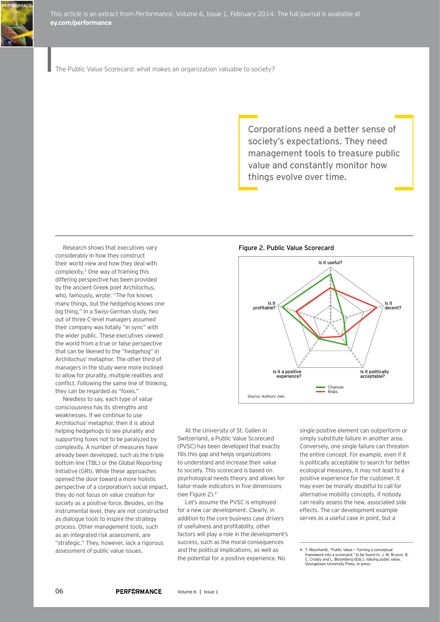

The Public Value Scorecard: what makes an organization valuable to society?

Corporations need a better sense of society's expectations. They need management tools to treasure public value and constantly monitor how things evolve over time.

Research shows that executives vary considerably in how they construct their world view and how they deal with complexity.3 One way of framing this differing perspective has been provided by the ancient Greek poet Archilochus, who, famously, wrote: "The fox knows many things, but the hedgehog knows one big thing." In a Swiss-German study, two out of three C-level managers assumed their company was totally "in sync" with the wider public. These executives viewed the world from a true or false perspective that can be likened to the "hedgehog" in Archilochus' metaphor. The other third of managers in the study were more inclined to allow for plurality, multiple realities and conflict. Following the same line of thinking, they can be regarded as "foxes."

Needless to say, each type of value consciousness has its strengths and weaknesses. If we continue to use Archilochus' metaphor, then it is about helping hedgehogs to see plurality and supporting foxes not to be paralyzed by complexity. A number of measures have already been developed, such as the triple bottom line (TBL) or the Global Reporting Initiative (GRI). While these approaches opened the door toward a more holistic perspective of a corporation's social impact, they do not focus on value creation for society as a positive force. Besides, on the instrumental level, they are not constructed as dialogue tools to inspire the strategy process. Other management tools, such as an integrated risk assessment, are "strategic." They, however, lack a rigorous assessment of public value issues.

Figure 2. Public Value Scorecard



At the University of St. Gallen in Switzerland, a Public Value Scorecard (PVSC) has been developed that exactly fills this gap and helps organizations to understand and increase their value to society. This scorecard is based on psychological needs theory and allows for tailor-made indicators in five dimensions (see Figure 2).<sup>4</sup>

Let's assume the PVSC is employed for a new car development. Clearly, in addition to the core business case drivers of usefulness and profitability, other factors will play a role in the development's success, such as the moral consequences and the political implications, as well as the potential for a positive experience. No

single positive element can outperform or simply substitute failure in another area. Conversely, one single failure can threaten the entire concept. For example, even if it is politically acceptable to search for better ecological measures, it may not lead to a positive experience for the customer. It may even be morally doubtful to call for alternative mobility concepts, if nobody can really assess the new, associated side effects. The car development example serves as a useful case in point, but a

<sup>4.</sup> T. Meynhardt, "Public Value — Turning a conceptual framework into a scorecard," to be found in: J. M. Bryson, B. C. Crosby and L. Bloomberg (Eds.), *Valuing public value*, Georgetown University Press, in press.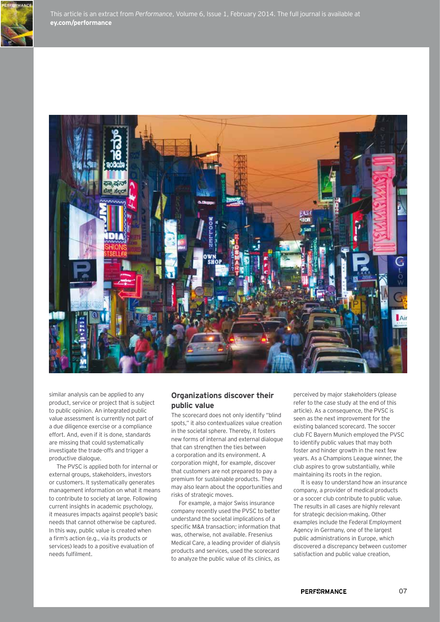



similar analysis can be applied to any product, service or project that is subject to public opinion. An integrated public value assessment is currently not part of a due diligence exercise or a compliance effort. And, even if it is done, standards are missing that could systematically investigate the trade-offs and trigger a productive dialogue.

The PVSC is applied both for internal or external groups, stakeholders, investors or customers. It systematically generates management information on what it means to contribute to society at large. Following current insights in academic psychology, it measures impacts against people's basic needs that cannot otherwise be captured. In this way, public value is created when a firm's action (e.g., via its products or services) leads to a positive evaluation of needs fulfilment.

# **Organizations discover their public value**

The scorecard does not only identify "blind spots," it also contextualizes value creation in the societal sphere. Thereby, it fosters new forms of internal and external dialogue that can strengthen the ties between a corporation and its environment. A corporation might, for example, discover that customers are not prepared to pay a premium for sustainable products. They may also learn about the opportunities and risks of strategic moves.

For example, a major Swiss insurance company recently used the PVSC to better understand the societal implications of a specific M&A transaction; information that was, otherwise, not available. Fresenius Medical Care, a leading provider of dialysis products and services, used the scorecard to analyze the public value of its clinics, as

perceived by major stakeholders (please refer to the case study at the end of this article). As a consequence, the PVSC is seen as the next improvement for the existing balanced scorecard. The soccer club FC Bayern Munich employed the PVSC to identify public values that may both foster and hinder growth in the next few years. As a Champions League winner, the club aspires to grow substantially, while maintaining its roots in the region.

It is easy to understand how an insurance company, a provider of medical products or a soccer club contribute to public value. The results in all cases are highly relevant for strategic decision-making. Other examples include the Federal Employment Agency in Germany, one of the largest public administrations in Europe, which discovered a discrepancy between customer satisfaction and public value creation,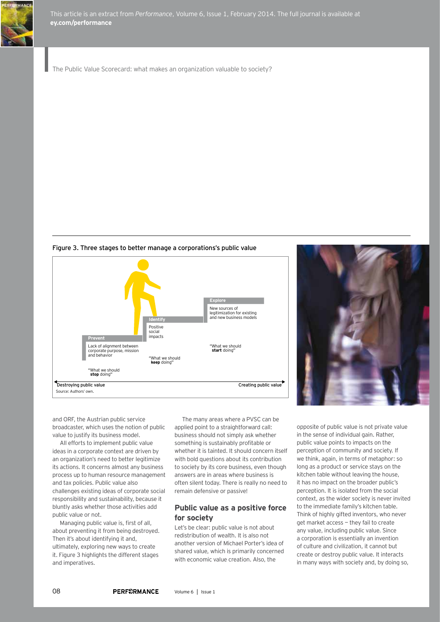

This article is an extract from *Performance*, Volume 6, Issue 1, February 2014. The full journal is available at **ey.com/performance**

The Public Value Scorecard: what makes an organization valuable to society?

Figure 3. Three stages to better manage a corporations's public value





and ORF, the Austrian public service broadcaster, which uses the notion of public value to justify its business model.

All efforts to implement public value ideas in a corporate context are driven by an organization's need to better legitimize its actions. It concerns almost any business process up to human resource management and tax policies. Public value also challenges existing ideas of corporate social responsibility and sustainability, because it bluntly asks whether those activities add public value or not.

Managing public value is, first of all, about preventing it from being destroyed. Then it's about identifying it and, ultimately, exploring new ways to create it. Figure 3 highlights the different stages and imperatives.

The many areas where a PVSC can be applied point to a straightforward call: business should not simply ask whether something is sustainably profitable or whether it is tainted. It should concern itself with bold questions about its contribution to society by its core business, even though answers are in areas where business is often silent today. There is really no need to remain defensive or passive!

# **Public value as a positive force for society**

Let's be clear: public value is not about redistribution of wealth. It is also not another version of Michael Porter's idea of shared value, which is primarily concerned with economic value creation. Also, the

opposite of public value is not private value in the sense of individual gain. Rather, public value points to impacts on the perception of community and society. If we think, again, in terms of metaphor: so long as a product or service stays on the kitchen table without leaving the house, it has no impact on the broader public's perception. It is isolated from the social context, as the wider society is never invited to the immediate family's kitchen table. Think of highly gifted inventors, who never get market access — they fail to create any value, including public value. Since a corporation is essentially an invention of culture and civilization, it cannot but create or destroy public value. It interacts in many ways with society and, by doing so,